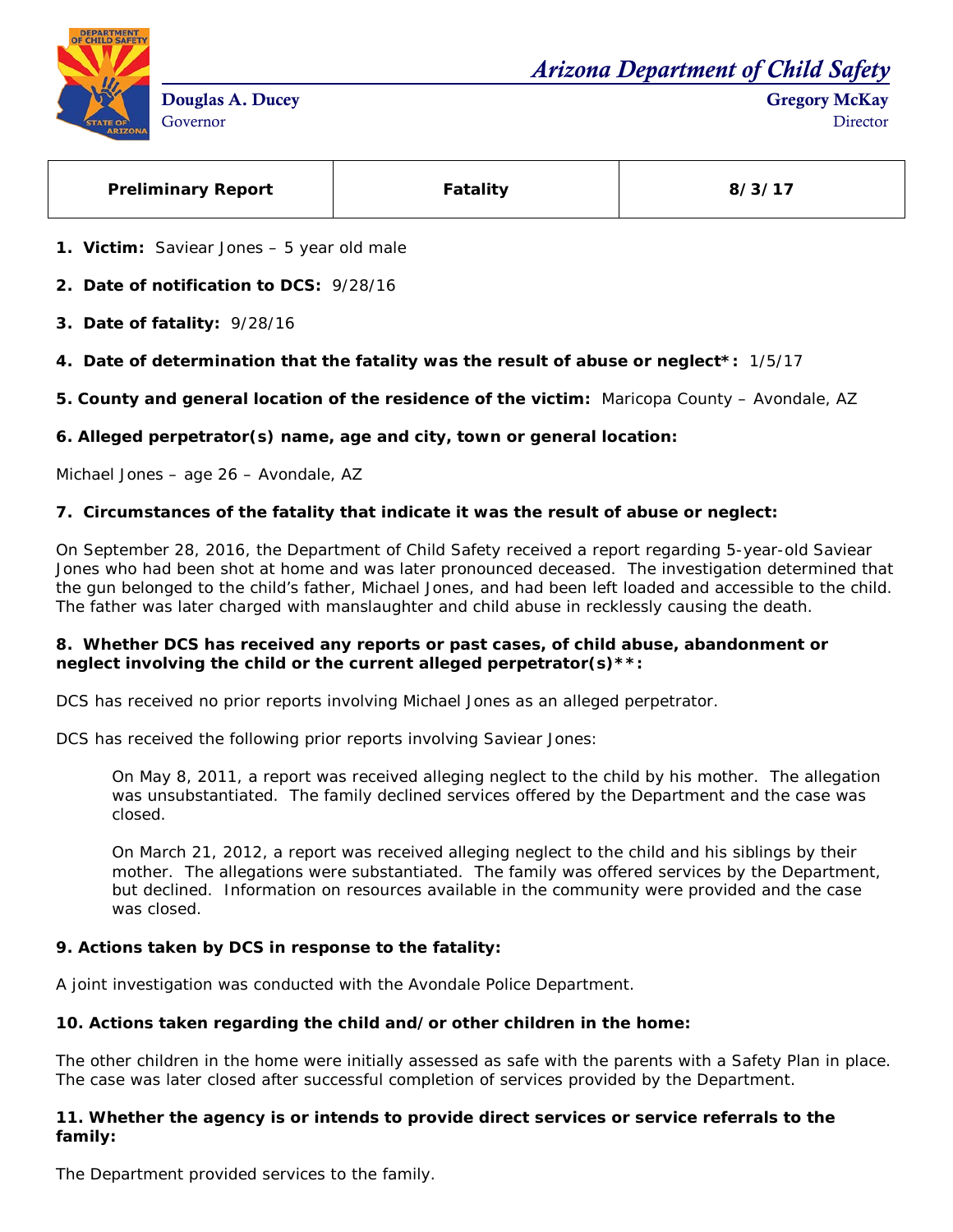*Arizona Department of Child Safety*



| <b>Preliminary Report</b> | <b>Fatality</b> | 8/3/17 |
|---------------------------|-----------------|--------|
|---------------------------|-----------------|--------|

**1. Victim:** Saviear Jones – 5 year old male

**2. Date of notification to DCS:** 9/28/16

- **3. Date of fatality:** 9/28/16
- **4. Date of determination that the fatality was the result of abuse or neglect\*:** 1/5/17

**5. County and general location of the residence of the victim:** Maricopa County – Avondale, AZ

**6. Alleged perpetrator(s) name, age and city, town or general location:**

Michael Jones – age 26 – Avondale, AZ

## **7. Circumstances of the fatality that indicate it was the result of abuse or neglect:**

On September 28, 2016, the Department of Child Safety received a report regarding 5-year-old Saviear Jones who had been shot at home and was later pronounced deceased. The investigation determined that the gun belonged to the child's father, Michael Jones, and had been left loaded and accessible to the child. The father was later charged with manslaughter and child abuse in recklessly causing the death.

## **8. Whether DCS has received any reports or past cases, of child abuse, abandonment or neglect involving the child or the current alleged perpetrator(s)\*\*:**

DCS has received no prior reports involving Michael Jones as an alleged perpetrator.

DCS has received the following prior reports involving Saviear Jones:

On May 8, 2011, a report was received alleging neglect to the child by his mother. The allegation was unsubstantiated. The family declined services offered by the Department and the case was closed.

On March 21, 2012, a report was received alleging neglect to the child and his siblings by their mother. The allegations were substantiated. The family was offered services by the Department, but declined. Information on resources available in the community were provided and the case was closed.

# **9. Actions taken by DCS in response to the fatality:**

A joint investigation was conducted with the Avondale Police Department.

## **10. Actions taken regarding the child and/or other children in the home:**

The other children in the home were initially assessed as safe with the parents with a Safety Plan in place. The case was later closed after successful completion of services provided by the Department.

## **11. Whether the agency is or intends to provide direct services or service referrals to the family:**

The Department provided services to the family.